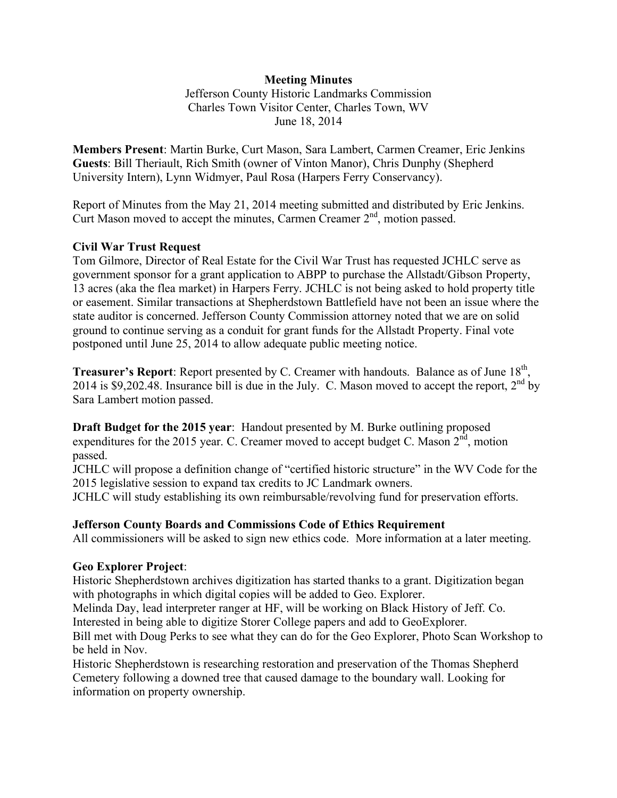## **Meeting Minutes**

Jefferson County Historic Landmarks Commission Charles Town Visitor Center, Charles Town, WV June 18, 2014

**Members Present**: Martin Burke, Curt Mason, Sara Lambert, Carmen Creamer, Eric Jenkins **Guests**: Bill Theriault, Rich Smith (owner of Vinton Manor), Chris Dunphy (Shepherd University Intern), Lynn Widmyer, Paul Rosa (Harpers Ferry Conservancy).

Report of Minutes from the May 21, 2014 meeting submitted and distributed by Eric Jenkins. Curt Mason moved to accept the minutes, Carmen Creamer  $2<sup>nd</sup>$ , motion passed.

## **Civil War Trust Request**

Tom Gilmore, Director of Real Estate for the Civil War Trust has requested JCHLC serve as government sponsor for a grant application to ABPP to purchase the Allstadt/Gibson Property, 13 acres (aka the flea market) in Harpers Ferry. JCHLC is not being asked to hold property title or easement. Similar transactions at Shepherdstown Battlefield have not been an issue where the state auditor is concerned. Jefferson County Commission attorney noted that we are on solid ground to continue serving as a conduit for grant funds for the Allstadt Property. Final vote postponed until June 25, 2014 to allow adequate public meeting notice.

**Treasurer's Report:** Report presented by C. Creamer with handouts. Balance as of June 18<sup>th</sup>, 2014 is \$9,202.48. Insurance bill is due in the July. C. Mason moved to accept the report,  $2<sup>nd</sup>$  by Sara Lambert motion passed.

**Draft Budget for the 2015 year**: Handout presented by M. Burke outlining proposed expenditures for the 2015 year. C. Creamer moved to accept budget C. Mason  $2<sup>nd</sup>$ , motion passed.

JCHLC will propose a definition change of "certified historic structure" in the WV Code for the 2015 legislative session to expand tax credits to JC Landmark owners.

JCHLC will study establishing its own reimbursable/revolving fund for preservation efforts.

### **Jefferson County Boards and Commissions Code of Ethics Requirement**

All commissioners will be asked to sign new ethics code. More information at a later meeting.

### **Geo Explorer Project**:

Historic Shepherdstown archives digitization has started thanks to a grant. Digitization began with photographs in which digital copies will be added to Geo. Explorer.

Melinda Day, lead interpreter ranger at HF, will be working on Black History of Jeff. Co. Interested in being able to digitize Storer College papers and add to GeoExplorer.

Bill met with Doug Perks to see what they can do for the Geo Explorer, Photo Scan Workshop to be held in Nov.

Historic Shepherdstown is researching restoration and preservation of the Thomas Shepherd Cemetery following a downed tree that caused damage to the boundary wall. Looking for information on property ownership.